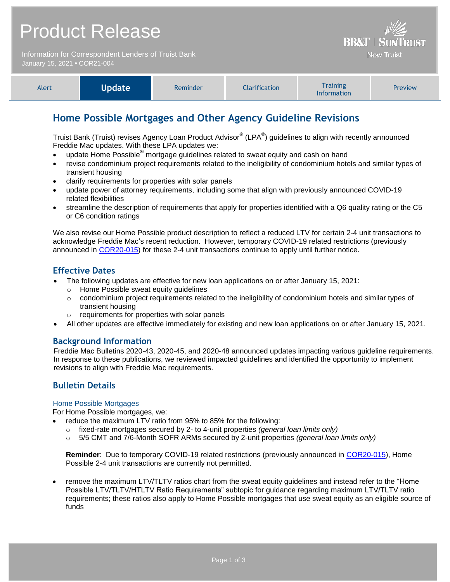Information for Correspondent Lenders of Truist Bank January 15, 2021 **•** COR21-004



**BB&T | SUNT** 

**Now Truist** 

# **Home Possible Mortgages and Other Agency Guideline Revisions**

Truist Bank (Truist) revises Agency Loan Product Advisor® (LPA<sup>®</sup>) guidelines to align with recently announced Freddie Mac updates. With these LPA updates we:

- update Home Possible<sup>®</sup> mortgage guidelines related to sweat equity and cash on hand
- revise condominium project requirements related to the ineligibility of condominium hotels and similar types of transient housing
- clarify requirements for properties with solar panels
- update power of attorney requirements, including some that align with previously announced COVID-19 related flexibilities
- streamline the description of requirements that apply for properties identified with a Q6 quality rating or the C5 or C6 condition ratings

We also revise our Home Possible product description to reflect a reduced LTV for certain 2-4 unit transactions to acknowledge Freddie Mac's recent reduction. However, temporary COVID-19 related restrictions (previously announced in [COR20-015\)](https://www.truistsellerguide.com/Manual/cor/bulletins/archive/Cr20-015.pdf) for these 2-4 unit transactions continue to apply until further notice.

### **Effective Dates**

- The following updates are effective for new loan applications on or after January 15, 2021:
	- o Home Possible sweat equity guidelines
	- o condominium project requirements related to the ineligibility of condominium hotels and similar types of transient housing
	- o requirements for properties with solar panels
- All other updates are effective immediately for existing and new loan applications on or after January 15, 2021.

### **Background Information**

Freddie Mac Bulletins 2020-43, 2020-45, and 2020-48 announced updates impacting various guideline requirements. In response to these publications, we reviewed impacted guidelines and identified the opportunity to implement revisions to align with Freddie Mac requirements.

# **Bulletin Details**

#### Home Possible Mortgages

For Home Possible mortgages, we:

- reduce the maximum LTV ratio from 95% to 85% for the following:
	- o fixed-rate mortgages secured by 2- to 4-unit properties *(general loan limits only)*
	- o 5/5 CMT and 7/6-Month SOFR ARMs secured by 2-unit properties *(general loan limits only)*

**Reminder**: Due to temporary COVID-19 related restrictions (previously announced in [COR20-015\)](https://www.truistsellerguide.com/Manual/cor/bulletins/archive/Cr20-015.pdf), Home Possible 2-4 unit transactions are currently not permitted.

 remove the maximum LTV/TLTV ratios chart from the sweat equity guidelines and instead refer to the "Home Possible LTV/TLTV/HTLTV Ratio Requirements" subtopic for guidance regarding maximum LTV/TLTV ratio requirements; these ratios also apply to Home Possible mortgages that use sweat equity as an eligible source of funds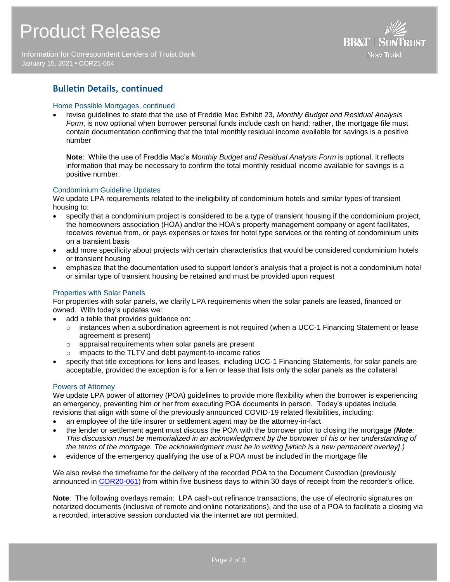Information for Correspondent Lenders of Truist Bank January 15, 2021 **•** COR21-004



### **Bulletin Details, continued**

#### Home Possible Mortgages, continued

 revise guidelines to state that the use of Freddie Mac Exhibit 23, *Monthly Budget and Residual Analysis Form*, is now optional when borrower personal funds include cash on hand; rather, the mortgage file must contain documentation confirming that the total monthly residual income available for savings is a positive number

**Note**: While the use of Freddie Mac's *Monthly Budget and Residual Analysis Form* is optional, it reflects information that may be necessary to confirm the total monthly residual income available for savings is a positive number.

#### Condominium Guideline Updates

We update LPA requirements related to the ineligibility of condominium hotels and similar types of transient housing to:

- specify that a condominium project is considered to be a type of transient housing if the condominium project, the homeowners association (HOA) and/or the HOA's property management company or agent facilitates, receives revenue from, or pays expenses or taxes for hotel type services or the renting of condominium units on a transient basis
- add more specificity about projects with certain characteristics that would be considered condominium hotels or transient housing
- emphasize that the documentation used to support lender's analysis that a project is not a condominium hotel or similar type of transient housing be retained and must be provided upon request

#### Properties with Solar Panels

For properties with solar panels, we clarify LPA requirements when the solar panels are leased, financed or owned. With today's updates we:

- add a table that provides guidance on:
	- $\circ$  instances when a subordination agreement is not required (when a UCC-1 Financing Statement or lease agreement is present)
	- o appraisal requirements when solar panels are present
	- o impacts to the TLTV and debt payment-to-income ratios
- specify that title exceptions for liens and leases, including UCC-1 Financing Statements, for solar panels are acceptable, provided the exception is for a lien or lease that lists only the solar panels as the collateral

#### Powers of Attorney

We update LPA power of attorney (POA) guidelines to provide more flexibility when the borrower is experiencing an emergency, preventing him or her from executing POA documents in person. Today's updates include revisions that align with some of the previously announced COVID-19 related flexibilities, including:

- an employee of the title insurer or settlement agent may be the attorney-in-fact
- the lender or settlement agent must discuss the POA with the borrower prior to closing the mortgage *(Note: This discussion must be memorialized in an acknowledgment by the borrower of his or her understanding of the terms of the mortgage. The acknowledgment must be in writing [which is a new permanent overlay].)*
- evidence of the emergency qualifying the use of a POA must be included in the mortgage file

We also revise the timeframe for the delivery of the recorded POA to the Document Custodian (previously announced in [COR20-061\)](https://www.truistsellerguide.com/Manual/cor/bulletins/archive/Cr20-061.pdf) from within five business days to within 30 days of receipt from the recorder's office.

**Note**: The following overlays remain: LPA cash-out refinance transactions, the use of electronic signatures on notarized documents (inclusive of remote and online notarizations), and the use of a POA to facilitate a closing via a recorded, interactive session conducted via the internet are not permitted.